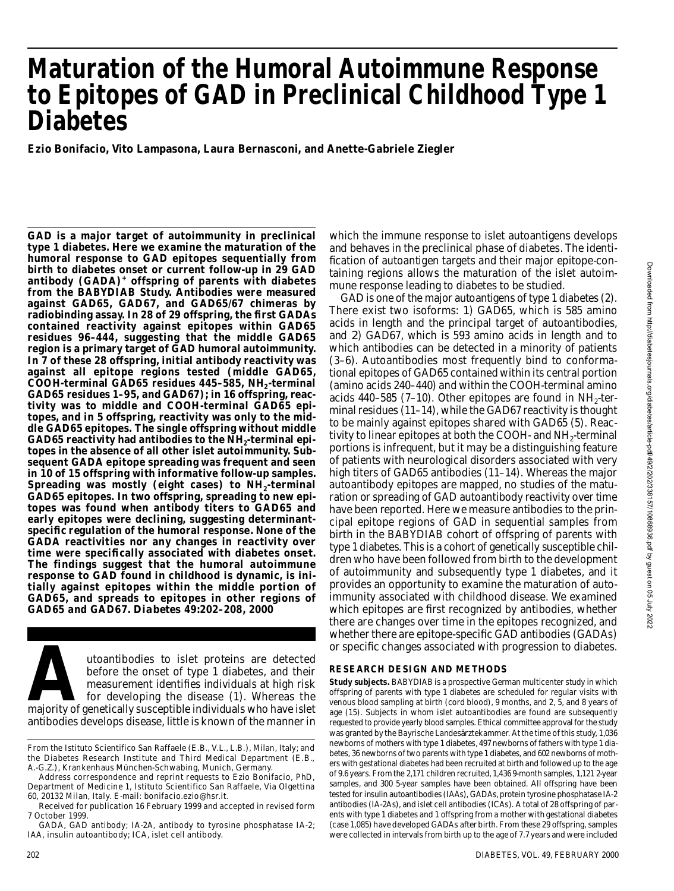# **Maturation of the Humoral Autoimmune Response to Epitopes of GAD in Preclinical Childhood Type 1 Diabetes**

**Ezio Bonifacio, Vito Lampasona, Laura Bernasconi, and Anette-Gabriele Ziegler**

**GAD is a major target of autoimmunity in preclinical t y p e 1 diabetes. Here we examine the maturation of the humoral response to GAD epitopes sequentially from birth to diabetes onset or current follow-up in 29 GAD antibody (GADA)<sup>+</sup> o ffspring of parents with diabetes from the BABYDIAB Study. Antibodies were measured against GAD65, GAD67, and GAD65/67 chimeras by radiobinding assay. In 28 of 29 offspring, the first GADAs contained reactivity against epitopes within GAD65 residues 96–444, suggesting that the middle GAD65 region is a primary target of GAD humoral autoimmunity. In 7 of these 28 offspring, initial antibody reactivity was against all epitope regions tested (middle GAD65,** COOH-terminal GAD65 residues 445–585, NH<sub>2</sub>-terminal **GAD65 residues 1–95, and GAD67); in 16 offspring, reactivity was to middle and COOH-terminal GAD65 epitopes, and in 5 offspring, reactivity was only to the middle GAD65 epitopes. The single offspring without middle GAD65 reactivity had antibodies to the NH<sup>2</sup> -terminal epitopes in the absence of all other islet autoimmunity. Subsequent GADA epitope spreading was frequent and seen in 10 of 15 offspring with informative follow-up samples.** Spreading was mostly (eight cases) to NH<sub>2</sub>-terminal **GAD65 epitopes. In two offspring, spreading to new epitopes was found when antibody titers to GAD65 and early epitopes were declining, suggesting determinants p e c i fic regulation of the humoral response. None of the GADA reactivities nor any changes in reactivity over time were specifically associated with diabetes onset. The findings suggest that the humoral autoimmune response to GAD found in childhood is dynamic, is initially against epitopes within the middle portion of GAD65, and spreads to epitopes in other regions of GAD65 and GAD67.** *D i a b e t e s* **4 9 :2 0 2–208, 2000**

attoantibodies to islet proteins are detected<br>before the onset of type 1 diabetes, and their<br>measurement identifies individuals at high risk<br>for developing the disease (1). Whereas the<br>majority of genetically susceptible i utoantibodies to islet proteins are detected before the onset of type 1 diabetes, and their measurement identifies individuals at high risk for developing the disease (1). Whereas the antibodies develops disease, little is known of the manner in

Address correspondence and reprint requests to Ezio Bonifacio, PhD, Department of Medicine 1, Istituto Scientifico San Raffaele, Via Olgettina 60, 20132 Milan, Italy. E-mail: bonifacio.ezio@hsr.it.

which the immune response to islet autoantigens develops and behaves in the preclinical phase of diabetes. The identification of autoantigen targets and their major epitope-containing regions allows the maturation of the islet autoimmune response leading to diabetes to be studied.

GAD is one of the major autoantigens of type 1 diabetes (2). There exist two isoforms: *1*) GAD65, which is 585 amino acids in length and the principal target of autoantibodies, and *2*) GAD67, which is 593 amino acids in length and to which antibodies can be detected in a minority of patients (3–6). Autoantibodies most frequently bind to conformational epitopes of GAD65 contained within its central portion (amino acids 240–440) and within the COOH-terminal amino acids 440–585 (7–10). Other epitopes are found in  $\text{NH}_2$ -terminal residues (11–14), while the GAD67 reactivity is thought to be mainly against epitopes shared with GAD65 (5). Reactivity to linear epitopes at both the COOH- and  $\rm NH_2$ -terminal portions is infrequent, but it may be a distinguishing feature of patients with neurological disorders associated with very high titers of GAD65 antibodies (11-14). Whereas the major autoantibody epitopes are mapped, no studies of the maturation or spreading of GAD autoantibody reactivity over time have been reported. Here we measure antibodies to the principal epitope regions of GAD in sequential samples from birth in the BABYDIAB cohort of offspring of parents with type 1 diabetes. This is a cohort of genetically susceptible children who have been followed from birth to the development of autoimmunity and subsequently type 1 diabetes, and it provides an opportunity to examine the maturation of autoimmunity associated with childhood disease. We examined which epitopes are first recognized by antibodies, whether there are changes over time in the epitopes recognized, and whether there are epitope-specific GAD antibodies (GADAs) or specific changes associated with progression to diabetes.

## **RESEARCH DESIGN AND METHODS**

**Study subjects.** BABYDIAB is a prospective German multicenter study in which offspring of parents with type 1 diabetes are scheduled for regular visits with venous blood sampling at birth (cord blood), 9 months, and 2, 5, and 8 years of age (15). Subjects in whom islet autoantibodies are found are subsequently requested to provide yearly blood samples. Ethical committee approval for the study was granted by the Bayrische Landesärztekammer. At the time of this study, 1,036 newborns of mothers with type 1 diabetes, 497 newborns of fathers with type 1 diabetes, 36 newborns of two parents with type 1 diabetes, and 602 newborns of mothers with gestational diabetes had been recruited at birth and followed up to the age of 9.6 years. From the 2,171 children recruited, 1,436 9-month samples, 1,121 2-year samples, and 300 5-year samples have been obtained. All offspring have been tested for insulin autoantibodies (IAAs), GADAs, protein tyrosine phosphatase IA-2 antibodies (IA-2As), and islet cell antibodies (ICAs). A total of 28 offspring of parents with type 1 diabetes and 1 offspring from a mother with gestational diabetes (case 1,085) have developed GADAs after birth. From these 29 offspring, samples were collected in intervals from birth up to the age of 7.7 years and were included

From the Istituto Scientifico San Raffaele (E.B., V.L., L.B.), Milan, Italy; and the Diabetes Research Institute and Third Medical Department (E.B., A .-G.Z.), Krankenhaus München-Schwabing, Munich, Germany.

Received for publication 16 February 1999 and accepted in revised form 7 October 1999.

GADA, GAD antibody; IA-2A, antibody to tyrosine phosphatase IA-2; IAA, insulin autoantibody; ICA, islet cell antibody.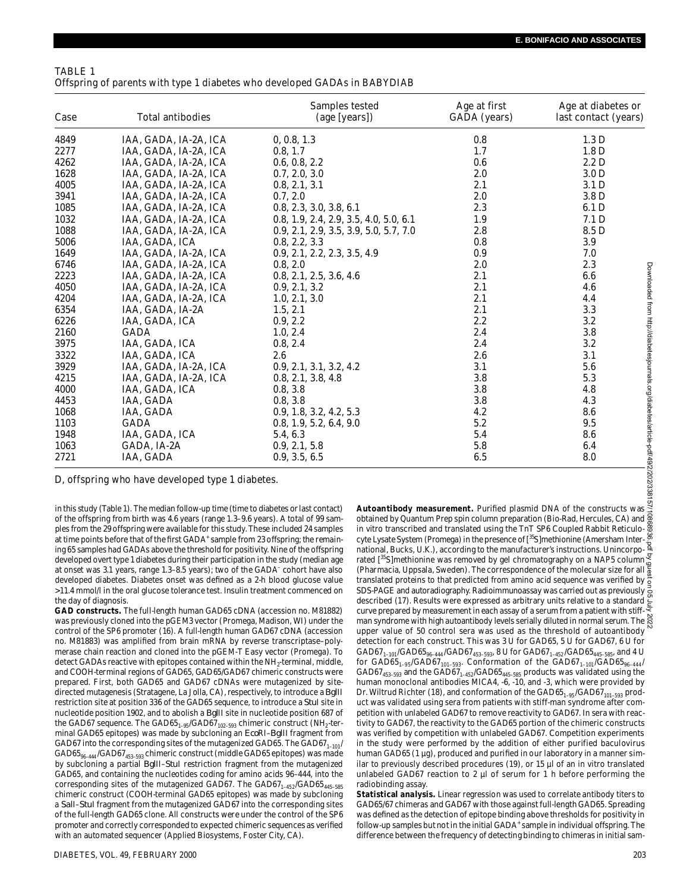## TABLE 1 Offspring of parents with type 1 diabetes who developed GADAs in BABYDIAB

| Case | Total antibodies      | Samples tested<br>(age [years])        | Age at first<br>GADA (years) | Age at diabetes or<br>last contact (years) |
|------|-----------------------|----------------------------------------|------------------------------|--------------------------------------------|
| 4849 | IAA, GADA, IA-2A, ICA | 0, 0.8, 1.3                            | 0.8                          | 1.3 <sub>D</sub>                           |
| 2277 | IAA, GADA, IA-2A, ICA | 0.8, 1.7                               | 1.7                          | 1.8 <sub>D</sub>                           |
| 4262 | IAA, GADA, IA-2A, ICA | 0.6, 0.8, 2.2                          | 0.6                          | 2.2 D                                      |
| 1628 | IAA, GADA, IA-2A, ICA | 0.7, 2.0, 3.0                          | 2.0                          | 3.0 <sub>D</sub>                           |
| 4005 | IAA, GADA, IA-2A, ICA | 0.8, 2.1, 3.1                          | 2.1                          | 3.1 <sub>D</sub>                           |
| 3941 | IAA, GADA, IA-2A, ICA | 0.7.2.0                                | 2.0                          | 3.8 <sub>D</sub>                           |
| 1085 | IAA, GADA, IA-2A, ICA | 0.8, 2.3, 3.0, 3.8, 6.1                | 2.3                          | 6.1 <sub>D</sub>                           |
| 1032 | IAA, GADA, IA-2A, ICA | 0.8, 1.9, 2.4, 2.9, 3.5, 4.0, 5.0, 6.1 | 1.9                          | 7.1 <sub>D</sub>                           |
| 1088 | IAA, GADA, IA-2A, ICA | 0.9, 2.1, 2.9, 3.5, 3.9, 5.0, 5.7, 7.0 | 2.8                          | 8.5 D                                      |
| 5006 | IAA, GADA, ICA        | 0.8, 2.2, 3.3                          | 0.8                          | 3.9                                        |
| 1649 | IAA, GADA, IA-2A, ICA | 0.9, 2.1, 2.2, 2.3, 3.5, 4.9           | 0.9                          | 7.0                                        |
| 6746 | IAA, GADA, IA-2A, ICA | 0.8, 2.0                               | 2.0                          | 2.3                                        |
| 2223 | IAA, GADA, IA-2A, ICA | 0.8, 2.1, 2.5, 3.6, 4.6                | 2.1                          | 6.6                                        |
| 4050 | IAA, GADA, IA-2A, ICA | 0.9, 2.1, 3.2                          | 2.1                          | 4.6                                        |
| 4204 | IAA, GADA, IA-2A, ICA | 1.0, 2.1, 3.0                          | 2.1                          | 4.4                                        |
| 6354 | IAA, GADA, IA-2A      | 1.5, 2.1                               | 2.1                          | 3.3                                        |
| 6226 | IAA, GADA, ICA        | 0.9, 2.2                               | 2.2                          | 3.2                                        |
| 2160 | <b>GADA</b>           | 1.0, 2.4                               | 2.4                          | 3.8                                        |
| 3975 | IAA, GADA, ICA        | 0.8, 2.4                               | 2.4                          | 3.2                                        |
| 3322 | IAA, GADA, ICA        | 2.6                                    | 2.6                          | 3.1                                        |
| 3929 | IAA, GADA, IA-2A, ICA | 0.9, 2.1, 3.1, 3.2, 4.2                | 3.1                          | 5.6                                        |
| 4215 | IAA, GADA, IA-2A, ICA | 0.8, 2.1, 3.8, 4.8                     | 3.8                          | 5.3                                        |
| 4000 | IAA, GADA, ICA        | 0.8, 3.8                               | 3.8                          | 4.8                                        |
| 4453 | IAA, GADA             | 0.8, 3.8                               | 3.8                          | 4.3                                        |
| 1068 | IAA, GADA             | 0.9, 1.8, 3.2, 4.2, 5.3                | 4.2                          | 8.6                                        |
| 1103 | <b>GADA</b>           | 0.8, 1.9, 5.2, 6.4, 9.0                | 5.2                          | 9.5                                        |
| 1948 | IAA, GADA, ICA        | 5.4, 6.3                               | 5.4                          | 8.6                                        |
| 1063 | GADA, IA-2A           | 0.9, 2.1, 5.8                          | 5.8                          | 6.4                                        |
| 2721 | IAA, GADA             | 0.9, 3.5, 6.5                          | 6.5                          | 8.0                                        |

D, offspring who have developed type 1 diabetes.

in this study (Table 1). The median follow-up time (time to diabetes or last contact) of the offspring from birth was 4.6 years (range 1.3–9.6 years). A total of 99 samples from the 29 offspring were available for this study. These included 24 samples at time points before that of the first GADA<sup>+</sup> sample from 23 offspring; the remaining 65 samples had GADAs above the threshold for positivity. Nine of the offspring developed overt type 1 diabetes during their participation in the study (median age at onset was 3.1 years, range 1.3–8.5 years); two of the GADA– cohort have also developed diabetes. Diabetes onset was defined as a 2-h blood glucose value >11.4 mmol/l in the oral glucose tolerance test. Insulin treatment commenced on the day of diagnosis.

**GAD constructs.** The full-length human GAD65 cDNA (accession no. M81882) was previously cloned into the pGEM3 vector (Promega, Madison, WI) under the control of the SP6 promoter (16). A full-length human GAD67 cDNA (accession no. M81883) was amplified from brain mRNA by reverse transcriptase–polymerase chain reaction and cloned into the pGEM-T Easy vector (Promega). To detect GADAs reactive with epitopes contained within the NH $_2$ -terminal, middle, and COOH-terminal regions of GAD65, GAD65/GAD67 chimeric constructs were prepared. First, both GAD65 and GAD67 cDNAs were mutagenized by sitedirected mutagenesis (Stratagene, La Jolla, CA), respectively, to introduce a BgIII restriction site at position 336 of the GAD65 sequence, to introduce a Stul site in nucleotide position 1902, and to abolish a BglII site in nucleotide position 687 of the GAD67 sequence. The GAD65<sub>1–95</sub>/GAD67<sub>102–593</sub> chimeric construct (NH<sub>2</sub>-terminal GAD65 epitopes) was made by subcloning an EcoRI-BgIII fragment from GAD67 into the corresponding sites of the mutagenized GAD65. The GAD67 $_{1-101}/$ GAD65<sub>96–444</sub>/GAD67<sub>453–593</sub> chimeric construct (middle GAD65 epitopes) was made by subcloning a partial *BgIII-StuI* restriction fragment from the mutagenized GAD65, and containing the nucleotides coding for amino acids 96–444, into the corresponding sites of the mutagenized GAD67. The GAD67 $_{1-452}$ /GAD65 $_{445-585}$ chimeric construct (COOH-terminal GAD65 epitopes) was made by subcloning a Sall-Stul fragment from the mutagenized GAD67 into the corresponding sites of the full-length GAD65 clone. All constructs were under the control of the SP6 promoter and correctly corresponded to expected chimeric sequences as verified with an automated sequencer (Applied Biosystems, Foster City, CA).

Autoantibody measurement. Purified plasmid DNA of the constructs was obtained by Quantum Prep spin column preparation (Bio-Rad, Hercules, CA) and in vitro transcribed and translated using the TnT SP6 Coupled Rabbit Reticulocyte Lysate System (Promega) in the presence of [<sup>35</sup>S]methionine (Amersham International, Bucks, U.K.), according to the manufacturer's instructions. Unincorporated [<sup>35</sup>S]methionine was removed by gel chromatography on a NAP5 column (Pharmacia, Uppsala, Sweden). The correspondence of the molecular size for all translated proteins to that predicted from amino acid sequence was verified by SDS-PAGE and autoradiography. Radioimmunoassay was carried out as previously described (17). Results were expressed as arbitrary units relative to a standard curve prepared by measurement in each assay of a serum from a patient with stiffman syndrome with high autoantibody levels serially diluted in normal serum. The R upper value of 50 control sera was used as the threshold of autoantibody detection for each construct. This was 3 U for GAD65, 5 U for GAD67, 6 U for GAD67<sub>1–101</sub>/GAD65<sub>96–444</sub>/GAD67<sub>453–593</sub>, 8 U for GAD67<sub>1–452</sub>/GAD65<sub>445–585</sub>, and 4 U for GAD65 $_{\rm 1-95}$ /GAD67 $_{\rm 101-593}$ . Conformation of the GAD67 $_{\rm 1-101}$ /GAD65 $_{\rm 96-444}$ / GAD67 $_{453-593}$  and the GAD67 $_{1-452}$ /GAD65 $_{445-585}$  products was validated using the human monoclonal antibodies MICA4, -6, -10, and -3, which were provided by Dr. Wiltrud Richter (18), and conformation of the  $\mathsf{GAD65}_{\mathsf{1-95}}/\mathsf{GAD67}_{\mathsf{101-593}}$  product was validated using sera from patients with stiff-man syndrome after competition with unlabeled GAD67 to remove reactivity to GAD67. In sera with reactivity to GAD67, the reactivity to the GAD65 portion of the chimeric constructs was verified by competition with unlabeled GAD67. Competition experiments in the study were performed by the addition of either purified baculovirus human GAD65 (1 µg), produced and purified in our laboratory in a manner similar to previously described procedures (19), or 15 µl of an in vitro translated unlabeled GAD67 reaction to 2 µl of serum for 1 h before performing the radiobinding assay. Downloaded from http://diabetesjournals.org/diabetes/article-pdf/49/2/202/338157/10868936.pdf by guest on 05 July 2022

**Statistical analysis.** Linear regression was used to correlate antibody titers to GAD65/67 chimeras and GAD67 with those against full-length GAD65. Spreading was defined as the detection of epitope binding above thresholds for positivity in follow-up samples but not in the initial GADA<sup>+</sup> sample in individual offspring. The difference between the frequency of detecting binding to chimeras in initial sam-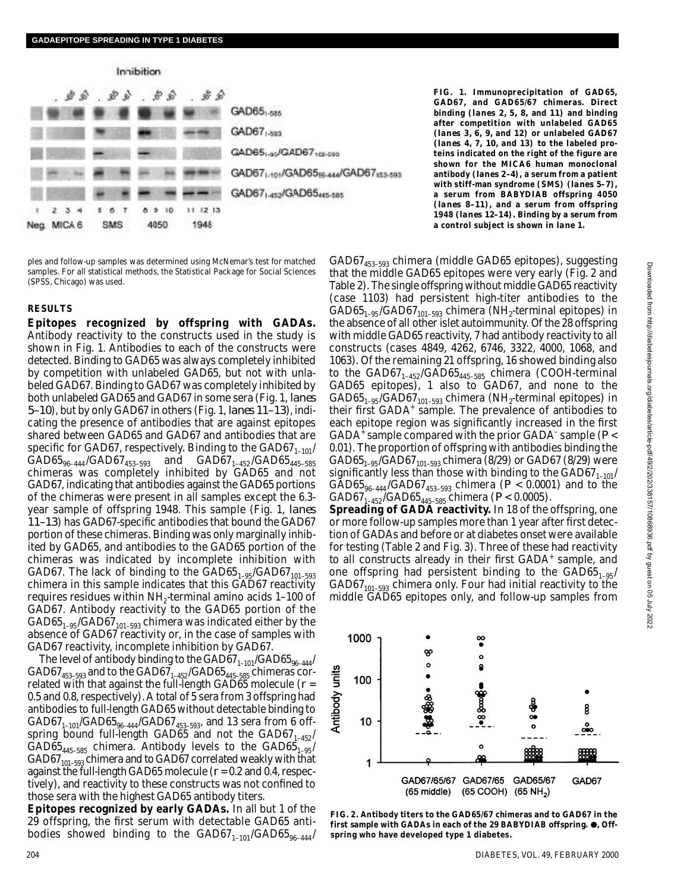

ples and follow-up samples was determined using McNemar's test for matched samples. For all statistical methods, the Statistical Package for Social Sciences (SPSS, Chicago) was used.

#### **R E S U LT S**

**Epitopes recognized by offspring with GADAs.** Antibody reactivity to the constructs used in the study is shown in Fig. 1. Antibodies to each of the constructs were detected. Binding to GAD65 was always completely inhibited by competition with unlabeled GAD65, but not with unlabeled GAD67. Binding to GAD67 was completely inhibited by both unlabeled GAD65 and GAD67 in some sera (Fig. 1, lanes *5 – 1 0*), but by only GAD67 in others (Fig. 1, *lanes 11–13*), indicating the presence of antibodies that are against epitopes shared between GAD65 and GAD67 and antibodies that are specific for GAD67, respectively. Binding to the GAD67 $_{\rm 1-101}/$  $GAD65_{96-444}/GAD67_{453-593}$  and  $GAD67_{1-452}/GAD65_{445-585}$ chimeras was completely inhibited by GAD65 and not GAD67, indicating that antibodies against the GAD65 portions of the chimeras were present in all samples except the 6.3 year sample of offspring 1948. This sample (Fig. 1, lanes *1 1 – 1 3*) has GAD67-specific antibodies that bound the GAD67 portion of these chimeras. Binding was only marginally inhibited by GAD65, and antibodies to the GAD65 portion of the chimeras was indicated by incomplete inhibition with GAD67. The lack of binding to the  $\mathrm{GAD65}_{1\text{--}95}/\mathrm{GAD67}_{101\text{--}593}$ chimera in this sample indicates that this GAD67 reactivity requires residues within  $NH_2$ -terminal amino acids 1–100 of GAD67. Antibody reactivity to the GAD65 portion of the  $\mathsf{GAD65}_{\mathsf{1}\text{-}\mathsf{9}\mathsf{5}}/\mathsf{GAD67}_{\mathsf{101}\text{-}\mathsf{593}}$  chimera was indicated either by the absence of GAD67 reactivity or, in the case of samples with GAD67 reactivity, incomplete inhibition by GAD67.

The level of antibody binding to the GAD67 $_{1-101}$ /GAD65 $_{96-444}$ / GAD67 $_{\rm 453-593}$  and to the GAD67 $_{\rm 1\text{--}452}$ /GAD65 $_{\rm 445-585}$  chimeras correlated with that against the full-length GAD65 molecule (*r* = 0.5 and 0.8, respectively). A total of 5 sera from 3 offspring had antibodies to full-length GAD65 without detectable binding to  $\mathsf{GAD67}_{\mathsf{1}\text{-}101}/\mathsf{GAD65}_{\mathsf{96}\text{-}444}/\mathsf{GAD67}_{\mathsf{453}\text{-}593}$ , and 13 sera from 6 offspring bound full-length GAD65 and not the GAD67<sub>1-452</sub>/ GAD65 $_{445-585}$  chimera. Antibody levels to the GAD65 $_{1-95}/$ GAD67 $_{101-593}$  chimera and to GAD67 correlated weakly with that against the full-length GAD65 molecule (*r* = 0.2 and 0.4, respectively), and reactivity to these constructs was not confined to those sera with the highest GAD65 antibody titers.

**Epitopes recognized by early GADAs.** In all but 1 of the 29 offspring, the first serum with detectable GAD65 antibodies showed binding to the GAD67 $_{1-101}$ /GAD65 $_{96-444}$ /

**FIG. 1. Immunoprecipitation of GAD65, GAD67, and GAD65/67 chimeras. Direct binding (***lanes 2, 5, 8,* **and** *1 1***) and binding after competition with unlabeled GAD65 (***lanes 3, 6, 9,* **and** *1 2***) or unlabeled GAD67** (lanes 4, 7, 10, and 13) to the labeled pro**teins indicated on the right of the figure are shown for the MICA6 human monoclonal antibody (***lanes 2–4***), a serum from a patient with stiff-man syndrome (SMS) (***lanes 5–7***) , a serum from BABYDIAB offspring 4050** (lanes 8-11), and a serum from offspring **1948 (***lanes 12–14***). Binding by a serum from a control subject is shown in** *lane 1***.**

GAD67<sub>453-593</sub> chimera (middle GAD65 epitopes), suggesting that the middle GAD65 epitopes were very early (Fig. 2 and Table 2). The single offspring without middle GAD65 reactivity (case 1103) had persistent high-titer antibodies to the  $\mathsf{GAD65}_{\mathsf{1}\text{-}\mathsf{9}\mathsf{5}}/\mathsf{GAD67}_{\mathsf{101}\text{-}\mathsf{593}}$  chimera  $\mathsf{(NH}_2\text{-}\mathsf{terminal}\text{-}\mathsf{epitopes)}$  in the absence of all other islet autoimmunity. Of the 28 offspring with middle GAD65 reactivity, 7 had antibody reactivity to all constructs (cases 4849, 4262, 6746, 3322, 4000, 1068, and 1063). Of the remaining 21 offspring, 16 showed binding also to the GAD67<sub>1-452</sub>/GAD65<sub>445-585</sub> chimera (COOH-terminal GAD65 epitopes), 1 also to GAD67, and none to the  $\mathsf{GAD65_{1\text{-}95} / GAD67_{101\text{-}593}}$  chimera  $\mathsf{(NH_{2}\text{-}terminal\ epitopes)}$  in their first GADA<sup>+</sup> sample. The prevalence of antibodies to each epitope region was significantly increased in the first GADA<sup>+</sup> sample compared with the prior GADA<sup>-</sup> sample (P < 0.01). The proportion of offspring with antibodies binding the GAD65<sub>1-95</sub>/GAD67<sub>101-593</sub> chimera (8/29) or GAD67 (8/29) were significantly less than those with binding to the GAD67 $_{\text{1--101}}$ /  $GAD65_{96-444}/GAD67_{453-593}$  chimera (P < 0.0001) and to the GAD67<sub>1–452</sub>/GAD65<sub>445–585</sub> chimera (P < 0.0005).

**Spreading of GADA reactivity.** In 18 of the offspring, one or more follow-up samples more than 1 year after first detection of GADAs and before or at diabetes onset were available for testing (Table 2 and Fig. 3). Three of these had reactivity to all constructs already in their first GADA<sup>+</sup> sample, and one offspring had persistent binding to the  $\text{GAD65}_{1\text{--}95}/$ GAD67 $_{101-593}$  chimera only. Four had initial reactivity to the middle GAD65 epitopes only, and follow-up samples from



**FIG. 2. Antibody titers to the GAD65/67 chimeras and to GAD67 in the** first sample with GADAs in each of the 29 BABYDIAB offspring.  $\bullet$ , Off**spring who have developed type 1 diabetes.**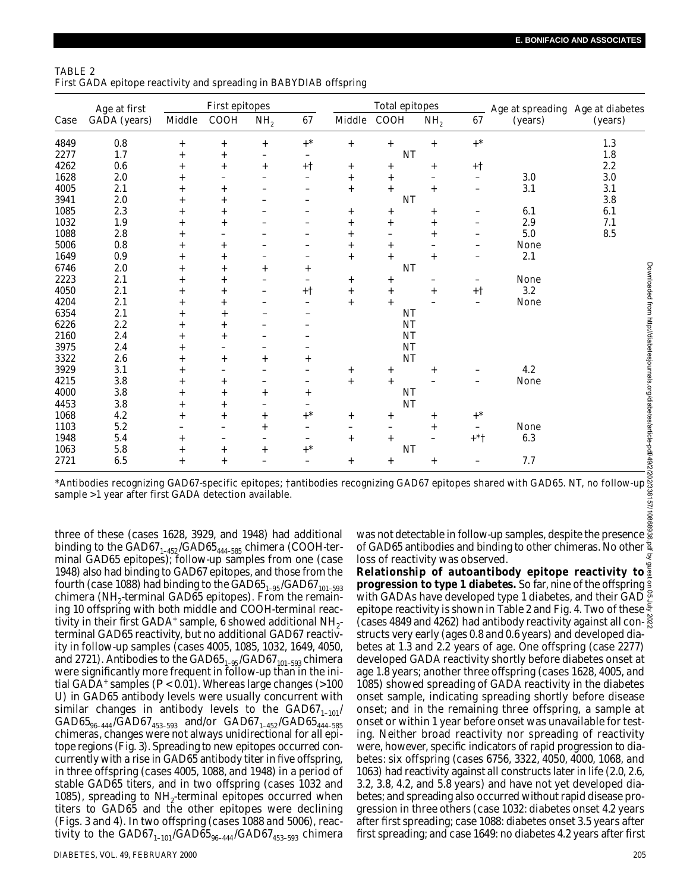| TABLE 2                                                           |  |  |
|-------------------------------------------------------------------|--|--|
| First GADA epitope reactivity and spreading in BABYDIAB offspring |  |  |

| Case | Age at first<br>GADA (years)                                                                                                                                                                                                                                                                                                                                                                                                                                                                                                                                                                       | First epitopes |                          |                 |        | Total epitopes |                                  |                 | Age at spreading Age at diabetes |                                                                                                                                                                                                                                                                                                                                                                                                                                                                                            |         |
|------|----------------------------------------------------------------------------------------------------------------------------------------------------------------------------------------------------------------------------------------------------------------------------------------------------------------------------------------------------------------------------------------------------------------------------------------------------------------------------------------------------------------------------------------------------------------------------------------------------|----------------|--------------------------|-----------------|--------|----------------|----------------------------------|-----------------|----------------------------------|--------------------------------------------------------------------------------------------------------------------------------------------------------------------------------------------------------------------------------------------------------------------------------------------------------------------------------------------------------------------------------------------------------------------------------------------------------------------------------------------|---------|
|      |                                                                                                                                                                                                                                                                                                                                                                                                                                                                                                                                                                                                    | Middle         | COOH                     | NH <sub>2</sub> | 67     |                | Middle COOH                      | NH <sub>2</sub> | 67                               | (years)                                                                                                                                                                                                                                                                                                                                                                                                                                                                                    | (years) |
| 4849 | 0.8                                                                                                                                                                                                                                                                                                                                                                                                                                                                                                                                                                                                | $+$            | $\ddot{}$                | $+$             | $+^*$  | $^{+}$         | $^{+}$                           | $^{+}$          | $+$ *                            |                                                                                                                                                                                                                                                                                                                                                                                                                                                                                            | 1.3     |
| 2277 | 1.7                                                                                                                                                                                                                                                                                                                                                                                                                                                                                                                                                                                                | $^{+}$         | $^{+}$                   |                 |        |                | ΝT                               |                 |                                  |                                                                                                                                                                                                                                                                                                                                                                                                                                                                                            | 1.8     |
| 4262 | 0.6                                                                                                                                                                                                                                                                                                                                                                                                                                                                                                                                                                                                | $^{+}$         | $^{+}$                   |                 | +†     | $^{+}$         | $^{+}$                           | $^{+}$          | +†                               |                                                                                                                                                                                                                                                                                                                                                                                                                                                                                            | 2.2     |
| 1628 | 2.0                                                                                                                                                                                                                                                                                                                                                                                                                                                                                                                                                                                                | $^{+}$         | ÷                        |                 |        | $^{+}$         | $^{+}$                           | L.              | $\overline{\phantom{0}}$         | 3.0                                                                                                                                                                                                                                                                                                                                                                                                                                                                                        | 3.0     |
| 4005 | 2.1                                                                                                                                                                                                                                                                                                                                                                                                                                                                                                                                                                                                | $^{+}$         | $^{+}$                   |                 |        | $^{+}$         | $^{+}$                           | $^{+}$          | $\overline{a}$                   | 3.1                                                                                                                                                                                                                                                                                                                                                                                                                                                                                        | 3.1     |
| 3941 | 2.0                                                                                                                                                                                                                                                                                                                                                                                                                                                                                                                                                                                                | $^{+}$         | $^{+}$                   |                 |        |                | ΝT                               |                 |                                  |                                                                                                                                                                                                                                                                                                                                                                                                                                                                                            | 3.8     |
| 1085 | 2.3                                                                                                                                                                                                                                                                                                                                                                                                                                                                                                                                                                                                | $^{+}$         | $^{+}$                   |                 |        | $\overline{+}$ | $^{+}$                           | $^{+}$          |                                  | 6.1                                                                                                                                                                                                                                                                                                                                                                                                                                                                                        | 6.1     |
| 1032 | 1.9                                                                                                                                                                                                                                                                                                                                                                                                                                                                                                                                                                                                | $\ddot{}$      | $\ddot{}$                |                 |        | $^{+}$         | $\ddot{}$                        | $\ddot{}$       | $\overline{\phantom{0}}$         | 2.9                                                                                                                                                                                                                                                                                                                                                                                                                                                                                        | 7.1     |
| 1088 | 2.8                                                                                                                                                                                                                                                                                                                                                                                                                                                                                                                                                                                                | $^{+}$         |                          |                 |        | $\ddot{}$      |                                  | $^{+}$          |                                  | 5.0                                                                                                                                                                                                                                                                                                                                                                                                                                                                                        | 8.5     |
| 5006 | 0.8                                                                                                                                                                                                                                                                                                                                                                                                                                                                                                                                                                                                | $^{+}$         | $^{+}$                   |                 |        | $^{+}$         | $^{+}$                           |                 | -                                | None                                                                                                                                                                                                                                                                                                                                                                                                                                                                                       |         |
| 1649 | 0.9                                                                                                                                                                                                                                                                                                                                                                                                                                                                                                                                                                                                | $^{+}$         | $^{+}$                   |                 |        | $^{+}$         | $\ddot{}$                        | $^{+}$          | -                                | 2.1                                                                                                                                                                                                                                                                                                                                                                                                                                                                                        |         |
| 6746 | 2.0                                                                                                                                                                                                                                                                                                                                                                                                                                                                                                                                                                                                | $^{+}$         | $^{+}$                   |                 | $^{+}$ |                | ΝT                               |                 |                                  |                                                                                                                                                                                                                                                                                                                                                                                                                                                                                            |         |
| 2223 | 2.1                                                                                                                                                                                                                                                                                                                                                                                                                                                                                                                                                                                                | $^{+}$         | $\ddot{}$                |                 |        | $^{+}$         | $^{+}$                           |                 | $\overline{\phantom{0}}$         | None                                                                                                                                                                                                                                                                                                                                                                                                                                                                                       |         |
| 4050 | 2.1                                                                                                                                                                                                                                                                                                                                                                                                                                                                                                                                                                                                | $+$            | $+$                      |                 | + †    | $^{+}$         | $+$                              | $+$             | $+1$                             | 3.2                                                                                                                                                                                                                                                                                                                                                                                                                                                                                        |         |
| 4204 | 2.1                                                                                                                                                                                                                                                                                                                                                                                                                                                                                                                                                                                                | $^{+}$         | $^{+}$                   |                 |        | $^{+}$         | $\ddot{}$                        |                 | $\equiv$                         | None                                                                                                                                                                                                                                                                                                                                                                                                                                                                                       |         |
| 6354 | 2.1                                                                                                                                                                                                                                                                                                                                                                                                                                                                                                                                                                                                | $^{+}$         | $^{+}$                   |                 |        |                | <b>NT</b>                        |                 |                                  |                                                                                                                                                                                                                                                                                                                                                                                                                                                                                            |         |
| 6226 | 2.2                                                                                                                                                                                                                                                                                                                                                                                                                                                                                                                                                                                                | $^{+}$         | $^{+}$                   |                 |        |                | <b>NT</b>                        |                 |                                  |                                                                                                                                                                                                                                                                                                                                                                                                                                                                                            |         |
| 2160 | 2.4                                                                                                                                                                                                                                                                                                                                                                                                                                                                                                                                                                                                | $\ddot{}$      | $\ddot{}$                |                 |        |                | ΝT                               |                 |                                  |                                                                                                                                                                                                                                                                                                                                                                                                                                                                                            |         |
| 3975 | 2.4                                                                                                                                                                                                                                                                                                                                                                                                                                                                                                                                                                                                | $^{+}$         | ÷                        |                 |        |                | ΝT                               |                 |                                  |                                                                                                                                                                                                                                                                                                                                                                                                                                                                                            |         |
| 3322 | 2.6                                                                                                                                                                                                                                                                                                                                                                                                                                                                                                                                                                                                | $^{+}$         | $^{+}$                   |                 | $^{+}$ |                | ΝT                               |                 |                                  |                                                                                                                                                                                                                                                                                                                                                                                                                                                                                            |         |
| 3929 | 3.1                                                                                                                                                                                                                                                                                                                                                                                                                                                                                                                                                                                                | $^{+}$         | $\overline{\phantom{0}}$ |                 |        | $^{+}$         | $^+$                             | $^{+}$          |                                  | 4.2                                                                                                                                                                                                                                                                                                                                                                                                                                                                                        |         |
| 4215 | 3.8                                                                                                                                                                                                                                                                                                                                                                                                                                                                                                                                                                                                | $^{+}$         | $^{+}$                   |                 |        | $^{+}$         | $+$                              |                 |                                  | None                                                                                                                                                                                                                                                                                                                                                                                                                                                                                       |         |
| 4000 | 3.8                                                                                                                                                                                                                                                                                                                                                                                                                                                                                                                                                                                                | $^{+}$         | $^{+}$                   |                 | $^{+}$ |                | ΝT                               |                 |                                  |                                                                                                                                                                                                                                                                                                                                                                                                                                                                                            |         |
| 4453 | 3.8                                                                                                                                                                                                                                                                                                                                                                                                                                                                                                                                                                                                | $^{+}$         | $+$                      |                 |        |                | ΝT                               |                 |                                  |                                                                                                                                                                                                                                                                                                                                                                                                                                                                                            |         |
| 1068 | 4.2                                                                                                                                                                                                                                                                                                                                                                                                                                                                                                                                                                                                | $^{+}$         | $^{+}$                   |                 |        | $^{+}$         | $^{+}$                           | $^{+}$          | $+$ $^\star$                     |                                                                                                                                                                                                                                                                                                                                                                                                                                                                                            |         |
| 1103 | 5.2                                                                                                                                                                                                                                                                                                                                                                                                                                                                                                                                                                                                |                | $\overline{\phantom{0}}$ |                 |        | -              |                                  | $^{+}$          | -                                | None                                                                                                                                                                                                                                                                                                                                                                                                                                                                                       |         |
| 1948 | 5.4                                                                                                                                                                                                                                                                                                                                                                                                                                                                                                                                                                                                | $^{+}$         |                          |                 |        | $^{+}$         | $^{+}$                           |                 | $+ * +$                          | 6.3                                                                                                                                                                                                                                                                                                                                                                                                                                                                                        |         |
| 1063 | 5.8                                                                                                                                                                                                                                                                                                                                                                                                                                                                                                                                                                                                | $^{+}$         | $^{+}$                   |                 |        |                | ΝT                               |                 |                                  |                                                                                                                                                                                                                                                                                                                                                                                                                                                                                            |         |
| 2721 | 6.5                                                                                                                                                                                                                                                                                                                                                                                                                                                                                                                                                                                                | $+$            | $+$                      |                 |        | $^{+}$         | $\ddot{}$                        | $^{+}$          |                                  | 7.7                                                                                                                                                                                                                                                                                                                                                                                                                                                                                        |         |
|      | sample >1 year after first GADA detection available.                                                                                                                                                                                                                                                                                                                                                                                                                                                                                                                                               |                |                          |                 |        |                |                                  |                 |                                  | *Antibodies recognizing GAD67-specific epitopes; fantibodies recognizing GAD67 epitopes shared with GAD65. NT, no follow-up                                                                                                                                                                                                                                                                                                                                                                |         |
|      | three of these (cases 1628, 3929, and 1948) had additional<br>binding to the GAD67 <sub>1-452</sub> /GAD65 <sub>444-585</sub> chimera (COOH-ter-<br>minal GAD65 epitopes); follow-up samples from one (case<br>1948) also had binding to GAD67 epitopes, and those from the<br>fourth (case 1088) had binding to the GAD65 <sub>1-95</sub> /GAD67 <sub>101-593</sub><br>chimera (NH <sub>2</sub> -terminal GAD65 epitopes). From the remain-<br>ing 10 offspring with both middle and COOH-terminal reac-<br>tivity in their first GADA <sup>+</sup> sample, 6 showed additional NH <sub>2</sub> - |                |                          |                 |        |                | loss of reactivity was observed. |                 |                                  | was not detectable in follow-up samples, despite the presence $\frac{6}{3}$<br>of GAD65 antibodies and binding to other chimeras. No other $\frac{3}{4}$<br>Relationship of autoantibody epitope reactivity to<br>progression to type 1 diabetes. So far, nine of the offspring<br>with GADAs have developed type 1 diabetes, and their GAD $\bar{z}$<br>epitope reactivity is shown in Table 2 and Fig. 4. Two of these<br>(cases 4849 and 4262) had antibody reactivity against all con- |         |

three of these (cases 1628, 3929, and 1948) had additional binding to the GAD67 $_{1-452}$ /GAD65 $_{444-585}$  chimera (COOH-terminal GAD65 epitopes); follow-up samples from one (case 1948) also had binding to GAD67 epitopes, and those from the fourth (case 1088) had binding to the GAD65 $_{\rm 1-95}$ /GAD67 $_{\rm 101-593}$ chimera (NH<sub>2</sub>-terminal GAD65 epitopes). From the remaining 10 offspring with both middle and COOH-terminal reactivity in their first GADA<sup>+</sup> sample, 6 showed additional NH<sub>2</sub>terminal GAD65 reactivity, but no additional GAD67 reactivity in follow-up samples (cases 4005, 1085, 1032, 1649, 4050, and 2721). Antibodies to the GAD65 $_{\rm 1-95}$ /GAD67 $_{\rm 101-593}$  chimera were significantly more frequent in follow-up than in the initial GADA<sup>+</sup> samples (*P* < 0.01). Whereas large changes (>100 U) in GAD65 antibody levels were usually concurrent with similar changes in antibody levels to the  $GAD67_{1-101}/$  $\mathrm{GAD65}_{\text{96--444}}/\mathrm{GAD67}_{\text{453--593}}$  and/or  $\mathrm{GAD67}_{\text{1--452}}/\mathrm{GAD65}_{\text{444--585}}$ chimeras, changes were not always unidirectional for all epitope regions (Fig. 3). Spreading to new epitopes occurred concurrently with a rise in GAD65 antibody titer in five offspring, in three offspring (cases 4005, 1088, and 1948) in a period of stable GAD65 titers, and in two offspring (cases 1032 and 1085), spreading to  $NH_2$ -terminal epitopes occurred when titers to GAD65 and the other epitopes were declining (Figs. 3 and 4). In two offspring (cases 1088 and 5006), reactivity to the GAD67 $_{\rm 1-101}$ /GAD65 $_{\rm 96-444}$ /GAD67 $_{\rm 453-593}$  chimera

betes at 1.3 and 2.2 years of age. One offspring (case 2277) developed GADA reactivity shortly before diabetes onset at age 1.8 years; another three offspring (cases 1628, 4005, and 1085) showed spreading of GADA reactivity in the diabetes onset sample, indicating spreading shortly before disease onset; and in the remaining three offspring, a sample at onset or within 1 year before onset was unavailable for testing. Neither broad reactivity nor spreading of reactivity were, however, specific indicators of rapid progression to diabetes: six offspring (cases 6756, 3322, 4050, 4000, 1068, and 1063) had reactivity against all constructs later in life (2.0, 2.6, 3.2, 3.8, 4.2, and 5.8 years) and have not yet developed diabetes; and spreading also occurred without rapid disease progression in three others (case 1032: diabetes onset 4.2 years after first spreading; case 1088: diabetes onset 3.5 years after first spreading; and case 1649: no diabetes 4.2 years after first

**Relationship of autoantibody epitope reactivity to progression to type 1 diabetes.** So far, nine of the offspring with GADAs have developed type 1 diabetes, and their GAD  $\frac{8}{5}$ epitope reactivity is shown in Table 2 and Fig. 4. Two of these  $\frac{5}{5}$ (cases 4849 and 4262) had antibody reactivity against all constructs very early (ages 0.8 and 0.6 years) and developed dia-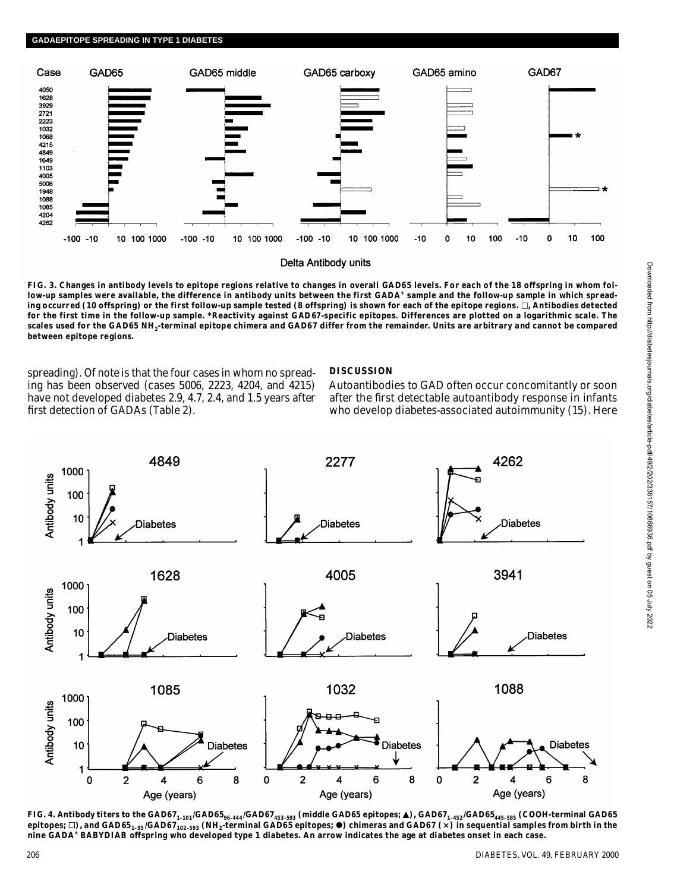

**FIG. 3. Changes in antibody levels to epitope regions relative to changes in overall GAD65 levels. For each of the 18 offspring in whom fol**low-up samples were available, the difference in antibody units between the first GADA<sup>+</sup> sample and the follow-up sample in which spreading occurred (10 offspring) or the first follow-up sample tested (8 offspring) is shown for each of the epitope regions.  $\Box$ , Antibodies detected **for the first time in the follow-up sample. \*Reactivity against GAD67-specific epitopes. Differences are plotted on a logarithmic scale. The scales used for the GAD65 NH<sup>2</sup> -terminal epitope chimera and GAD67 differ from the remainder. Units are arbitrary and cannot be compared between epitope regions.**

spreading). Of note is that the four cases in whom no spreading has been observed (cases 5006, 2223, 4204, and 4215) have not developed diabetes 2.9, 4.7, 2.4, and 1.5 years after first detection of GADAs (Table 2).

## **DISCUSSION**

Autoantibodies to GAD often occur concomitantly or soon after the first detectable autoantibody response in infants who develop diabetes-associated autoimmunity (15). Here



FIG. 4. Antibody titers to the GAD67<sub>1-101</sub>/GAD65<sub>96-444</sub>/GAD67<sub>453-593</sub> (middle GAD65 epitopes; ▲), GAD67<sub>1-452</sub>/GAD65<sub>445-585</sub> (COOH-terminal GAD65 epitopes; □), and GAD65<sub>1-95</sub>/GAD67<sub>102-593</sub> (NH<sub>2</sub>-terminal GAD65 epitopes; ●) chimeras and GAD67 (×) in sequential samples from birth in the **nine GADA<sup>+</sup> BABYDIAB offspring who developed type 1 diabetes. An arrow indicates the age at diabetes onset in each case.**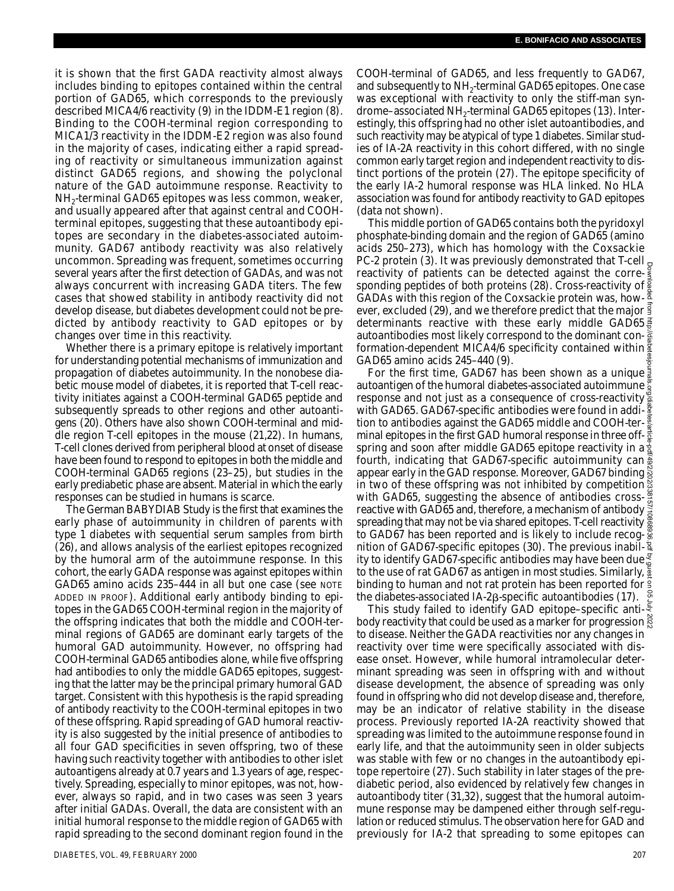it is shown that the first GADA reactivity almost always includes binding to epitopes contained within the central portion of GAD65, which corresponds to the previously described MICA4/6 reactivity (9) in the IDDM-E1 region (8). Binding to the COOH-terminal region corresponding to MICA1/3 reactivity in the IDDM-E2 region was also found in the majority of cases, indicating either a rapid spreading of reactivity or simultaneous immunization against distinct GAD65 regions, and showing the polyclonal nature of the GAD autoimmune response. Reactivity to NH $_2$ -terminal GAD65 epitopes was less common, weaker, and usually appeared after that against central and COOHterminal epitopes, suggesting that these autoantibody epitopes are secondary in the diabetes-associated autoimmunity. GAD67 antibody reactivity was also relatively uncommon. Spreading was frequent, sometimes occurring several years after the first detection of GADAs, and was not always concurrent with increasing GADA titers. The few cases that showed stability in antibody reactivity did not develop disease, but diabetes development could not be predicted by antibody reactivity to GAD epitopes or by changes over time in this reactivity.

Whether there is a primary epitope is relatively important for understanding potential mechanisms of immunization and propagation of diabetes autoimmunity. In the nonobese diabetic mouse model of diabetes, it is reported that T-cell reactivity initiates against a COOH-terminal GAD65 peptide and subsequently spreads to other regions and other autoantigens (20). Others have also shown COOH-terminal and middle region T-cell epitopes in the mouse (21,22). In humans, T-cell clones derived from peripheral blood at onset of disease have been found to respond to epitopes in both the middle and COOH-terminal GAD65 regions (23–25), but studies in the early prediabetic phase are absent. Material in which the early responses can be studied in humans is scarce.

The German BABYDIAB Study is the first that examines the early phase of autoimmunity in children of parents with type 1 diabetes with sequential serum samples from birth (26), and allows analysis of the earliest epitopes recognized by the humoral arm of the autoimmune response. In this cohort, the early GADA response was against epitopes within GAD65 amino acids 235-444 in all but one case (see NOTE ADDED IN PROOF). Additional early antibody binding to epitopes in the GAD65 COOH-terminal region in the majority of the offspring indicates that both the middle and COOH-terminal regions of GAD65 are dominant early targets of the humoral GAD autoimmunity. However, no offspring had COOH-terminal GAD65 antibodies alone, while five offspring had antibodies to only the middle GAD65 epitopes, suggesting that the latter may be the principal primary humoral GAD target. Consistent with this hypothesis is the rapid spreading of antibody reactivity to the COOH-terminal epitopes in two of these offspring. Rapid spreading of GAD humoral reactivity is also suggested by the initial presence of antibodies to all four GAD specificities in seven offspring, two of these having such reactivity together with antibodies to other islet autoantigens already at 0.7 years and 1.3 years of age, respectively. Spreading, especially to minor epitopes, was not, however, always so rapid, and in two cases was seen 3 years after initial GADAs. Overall, the data are consistent with an initial humoral response to the middle region of GAD65 with rapid spreading to the second dominant region found in the

COOH-terminal of GAD65, and less frequently to GAD67, and subsequently to NH $_2$ -terminal GAD65 epitopes. One case was exceptional with reactivity to only the stiff-man syndrome–associated NH<sub>2</sub>-terminal GAD65 epitopes (13). Interestingly, this offspring had no other islet autoantibodies, and such reactivity may be atypical of type 1 diabetes. Similar studies of IA-2A reactivity in this cohort differed, with no single common early target region and independent reactivity to distinct portions of the protein (27). The epitope specificity of the early IA-2 humoral response was HLA linked. No HLA association was found for antibody reactivity to GAD epitopes (data not shown).

This middle portion of GAD65 contains both the pyridoxyl phosphate-binding domain and the region of GAD65 (amino acids 250–273), which has homology with the Coxsackie PC-2 protein (3). It was previously demonstrated that T-cell  $_0$ reactivity of patients can be detected against the corresponding peptides of both proteins (28). Cross-reactivity of  $\frac{8}{9}$ GADAs with this region of the Coxsackie protein was, however, excluded (29), and we therefore predict that the major  $\frac{3}{2}$ determinants reactive with these early middle GAD65 autoantibodies most likely correspond to the dominant conformation-dependent MICA4/6 specificity contained within  $\frac{2}{3}$ GAD65 amino acids 245–440 (9).

For the first time, GAD67 has been shown as a unique autoantigen of the humoral diabetes-associated autoimmune response and not just as a consequence of cross-reactivity with GAD65. GAD67-specific antibodies were found in addition to antibodies against the GAD65 middle and COOH-terminal epitopes in the first GAD humoral response in three offspring and soon after middle GAD65 epitope reactivity in a  $\frac{1}{2}$ fourth, indicating that GAD67-specific autoimmunity can appear early in the GAD response. Moreover, GAD67 binding in two of these offspring was not inhibited by competition with GAD65, suggesting the absence of antibodies crossreactive with GAD65 and, therefore, a mechanism of antibody  $\frac{3}{8}$ spreading that may not be via shared epitopes. T-cell reactivity  $\frac{8}{9}$ to GAD67 has been reported and is likely to include recognition of GAD67-specific epitopes (30). The previous inability to identify GAD67-specific antibodies may have been due to the use of rat GAD67 as antigen in most studies. Similarly,  $\frac{1}{2}$ binding to human and not rat protein has been reported for the diabetes-associated IA-2 $\beta$ -specific autoantibodies (17). Downloaded from http://diabetesjournals.org/diabetes/article-pdf/49/2/202/338157/10868936.pdf by guest on 05 July 2022

This study failed to identify GAD epitope–specific antibody reactivity that could be used as a marker for progression to disease. Neither the GADA reactivities nor any changes in reactivity over time were specifically associated with disease onset. However, while humoral intramolecular determinant spreading was seen in offspring with and without disease development, the absence of spreading was only found in offspring who did not develop disease and, therefore, may be an indicator of relative stability in the disease process. Previously reported IA-2A reactivity showed that spreading was limited to the autoimmune response found in early life, and that the autoimmunity seen in older subjects was stable with few or no changes in the autoantibody epitope repertoire (27). Such stability in later stages of the prediabetic period, also evidenced by relatively few changes in autoantibody titer (31,32), suggest that the humoral autoimmune response may be dampened either through self-regulation or reduced stimulus. The observation here for GAD and previously for IA-2 that spreading to some epitopes can